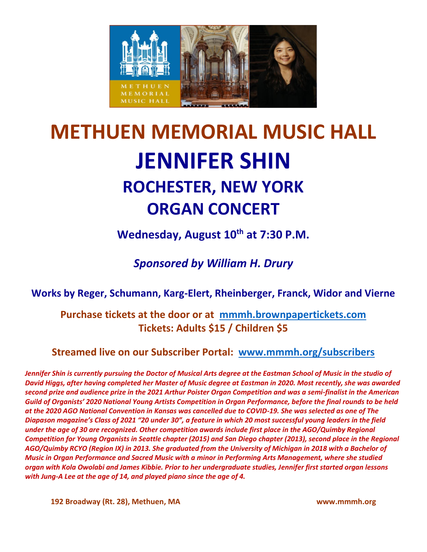

# **METHUEN MEMORIAL MUSIC HALL JENNIFER SHIN ROCHESTER, NEW YORK ORGAN CONCERT**

**Wednesday, August 10th at 7:30 P.M.**

*Sponsored by William H. Drury*

### **Works by Reger, Schumann, Karg-Elert, Rheinberger, Franck, Widor and Vierne**

### **Purchase tickets at the door or at [mmmh.brownpapertickets.com](http://mmmh.brownpapertickets.com/) Tickets: Adults \$15 / Children \$5**

**Streamed live on our Subscriber Portal: [www.mmmh.org/subscribers](http://www.mmmh.org/subscribers)**

*Jennifer Shin is currently pursuing the Doctor of Musical Arts degree at the Eastman School of Music in the studio of David Higgs, after having completed her Master of Music degree at Eastman in 2020. Most recently, she was awarded second prize and audience prize in the 2021 Arthur Poister Organ Competition and was a semi-finalist in the American Guild of Organists' 2020 National Young Artists Competition in Organ Performance, before the final rounds to be held at the 2020 AGO National Convention in Kansas was cancelled due to COVID-19. She was selected as one of The Diapason magazine's Class of 2021 "20 under 30", a feature in which 20 most successful young leaders in the field under the age of 30 are recognized. Other competition awards include first place in the AGO/Quimby Regional Competition for Young Organists in Seattle chapter (2015) and San Diego chapter (2013), second place in the Regional AGO/Quimby RCYO (Region IX) in 2013. She graduated from the University of Michigan in 2018 with a Bachelor of Music in Organ Performance and Sacred Music with a minor in Performing Arts Management, where she studied organ with Kola Owolabi and James Kibbie. Prior to her undergraduate studies, Jennifer first started organ lessons with Jung-A Lee at the age of 14, and played piano since the age of 4.*

**192 Broadway (Rt. 28), Methuen, MA www.mmmh.org**